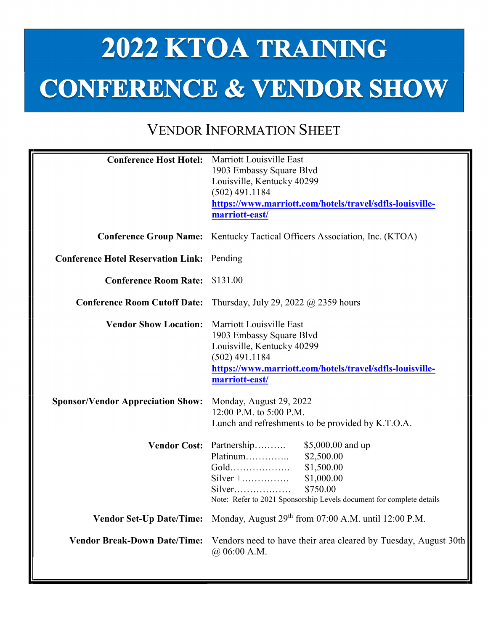## 2022 KTOA TRAINING **CONFERENCE & VENDOR SHOW**

## VENDOR INFORMATION SHEET

| <b>Conference Host Hotel:</b>                     | Marriott Louisville East                                                          |
|---------------------------------------------------|-----------------------------------------------------------------------------------|
|                                                   | 1903 Embassy Square Blvd                                                          |
|                                                   | Louisville, Kentucky 40299                                                        |
|                                                   | $(502)$ 491.1184                                                                  |
|                                                   | https://www.marriott.com/hotels/travel/sdfls-louisville-                          |
|                                                   | marriott-east/                                                                    |
|                                                   |                                                                                   |
|                                                   | <b>Conference Group Name:</b> Kentucky Tactical Officers Association, Inc. (KTOA) |
| <b>Conference Hotel Reservation Link:</b> Pending |                                                                                   |
| <b>Conference Room Rate:</b>                      | \$131.00                                                                          |
| <b>Conference Room Cutoff Date:</b>               | Thursday, July 29, 2022 $\omega$ 2359 hours                                       |
| <b>Vendor Show Location:</b>                      | Marriott Louisville East                                                          |
|                                                   | 1903 Embassy Square Blvd                                                          |
|                                                   | Louisville, Kentucky 40299                                                        |
|                                                   | $(502)$ 491.1184                                                                  |
|                                                   | https://www.marriott.com/hotels/travel/sdfls-louisville-                          |
|                                                   | marriott-east/                                                                    |
| <b>Sponsor/Vendor Appreciation Show:</b>          | Monday, August 29, 2022                                                           |
|                                                   | 12:00 P.M. to 5:00 P.M.                                                           |
|                                                   | Lunch and refreshments to be provided by K.T.O.A.                                 |
|                                                   | Vendor Cost: Partnership<br>\$5,000.00 and up                                     |
|                                                   | Platinum<br>\$2,500.00                                                            |
|                                                   | Gold<br>\$1,500.00                                                                |
|                                                   | $Silver + \ldots$<br>\$1,000.00                                                   |
|                                                   | \$750.00                                                                          |
|                                                   | Note: Refer to 2021 Sponsorship Levels document for complete details              |
|                                                   | Vendor Set-Up Date/Time: Monday, August 29th from 07:00 A.M. until 12:00 P.M.     |
| <b>Vendor Break-Down Date/Time:</b>               | Vendors need to have their area cleared by Tuesday, August 30th<br>@.06:00 A.M.   |
|                                                   |                                                                                   |